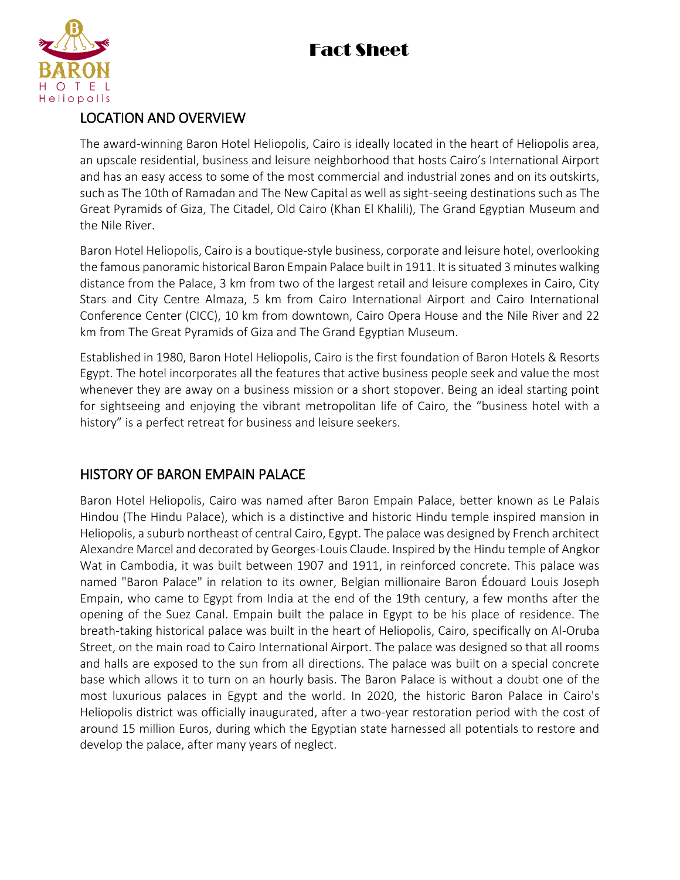

#### LOCATION AND OVERVIEW

The award-winning Baron Hotel Heliopolis, Cairo is ideally located in the heart of Heliopolis area, an upscale residential, business and leisure neighborhood that hosts Cairo's International Airport and has an easy access to some of the most commercial and industrial zones and on its outskirts, such as The 10th of Ramadan and The New Capital as well as sight-seeing destinations such as The Great Pyramids of Giza, The Citadel, Old Cairo (Khan El Khalili), The Grand Egyptian Museum and the Nile River.

Baron Hotel Heliopolis, Cairo is a boutique-style business, corporate and leisure hotel, overlooking the famous panoramic historical Baron Empain Palace built in 1911. It is situated 3 minutes walking distance from the Palace, 3 km from two of the largest retail and leisure complexes in Cairo, City Stars and City Centre Almaza, 5 km from Cairo International Airport and Cairo International Conference Center (CICC), 10 km from downtown, Cairo Opera House and the Nile River and 22 km from The Great Pyramids of Giza and The Grand Egyptian Museum.

Established in 1980, Baron Hotel Heliopolis, Cairo is the first foundation of Baron Hotels & Resorts Egypt. The hotel incorporates all the features that active business people seek and value the most whenever they are away on a business mission or a short stopover. Being an ideal starting point for sightseeing and enjoying the vibrant metropolitan life of Cairo, the "business hotel with a history" is a perfect retreat for business and leisure seekers.

### HISTORY OF BARON EMPAIN PALACE

Baron Hotel Heliopolis, Cairo was named after Baron Empain Palace, better known as Le Palais Hindou (The Hindu Palace), which is a distinctive and historic Hindu temple inspired mansion in Heliopolis, a suburb northeast of central Cairo, Egypt. The palace was designed by French architect Alexandre Marcel and decorated by Georges-Louis Claude. Inspired by the Hindu temple of Angkor Wat in Cambodia, it was built between 1907 and 1911, in reinforced concrete. This palace was named "Baron Palace" in relation to its owner, Belgian millionaire Baron Édouard Louis Joseph Empain, who came to Egypt from India at the end of the 19th century, a few months after the opening of the Suez Canal. Empain built the palace in Egypt to be his place of residence. The breath-taking historical palace was built in the heart of Heliopolis, Cairo, specifically on Al-Oruba Street, on the main road to Cairo International Airport. The palace was designed so that all rooms and halls are exposed to the sun from all directions. The palace was built on a special concrete base which allows it to turn on an hourly basis. The Baron Palace is without a doubt one of the most luxurious palaces in Egypt and the world. In 2020, the historic Baron Palace in Cairo's Heliopolis district was officially inaugurated, after a two-year restoration period with the cost of around 15 million Euros, during which the Egyptian state harnessed all potentials to restore and develop the palace, after many years of neglect.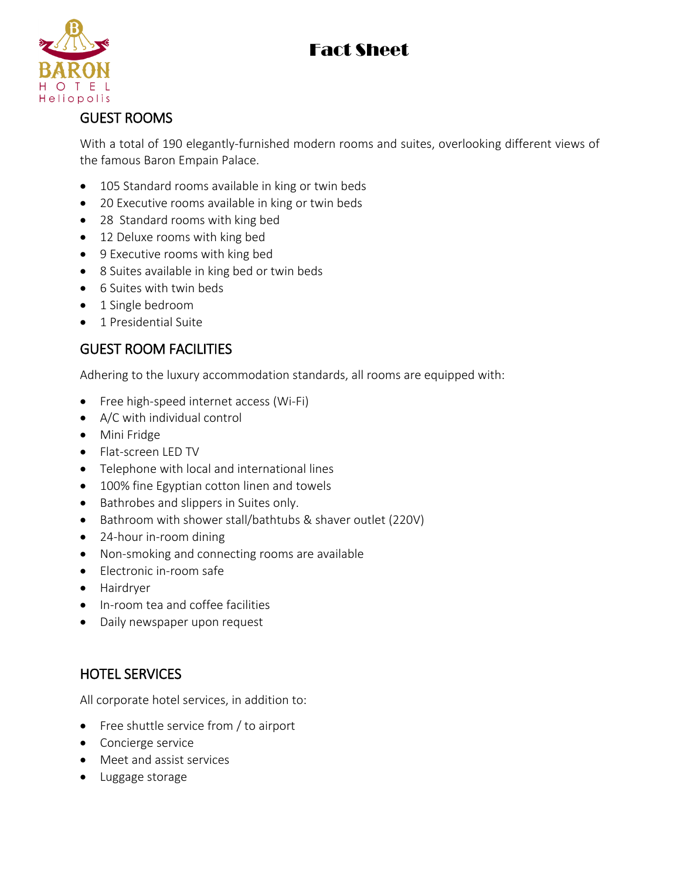

### GUEST ROOMS

With a total of 190 elegantly-furnished modern rooms and suites, overlooking different views of the famous Baron Empain Palace.

- 105 Standard rooms available in king or twin beds
- 20 Executive rooms available in king or twin beds
- 28 Standard rooms with king bed
- 12 Deluxe rooms with king bed
- 9 Executive rooms with king bed
- 8 Suites available in king bed or twin beds
- 6 Suites with twin beds
- 1 Single bedroom
- 1 Presidential Suite

### GUEST ROOM FACILITIES

Adhering to the luxury accommodation standards, all rooms are equipped with:

- Free high-speed internet access (Wi-Fi)
- A/C with individual control
- **•** Mini Fridge
- Flat-screen LED TV
- Telephone with local and international lines
- 100% fine Egyptian cotton linen and towels
- Bathrobes and slippers in Suites only.
- Bathroom with shower stall/bathtubs & shaver outlet (220V)
- 24-hour in-room dining
- Non-smoking and connecting rooms are available
- Electronic in-room safe
- Hairdryer
- In-room tea and coffee facilities
- Daily newspaper upon request

### HOTEL SERVICES

All corporate hotel services, in addition to:

- Free shuttle service from / to airport
- Concierge service
- Meet and assist services
- Luggage storage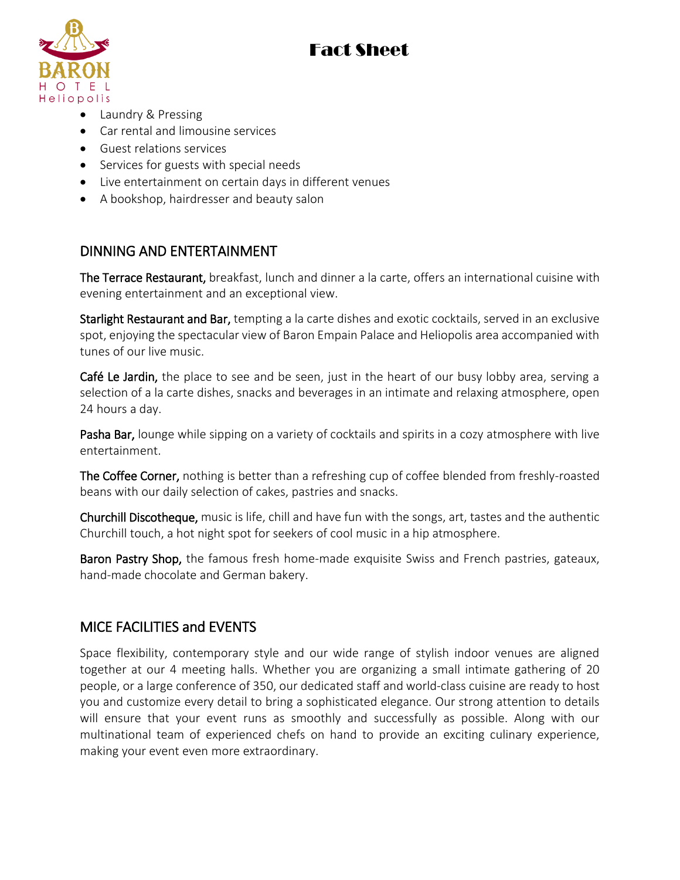

- Laundry & Pressing
- Car rental and limousine services
- Guest relations services
- Services for guests with special needs
- Live entertainment on certain days in different venues
- A bookshop, hairdresser and beauty salon

### DINNING AND ENTERTAINMENT

The Terrace Restaurant, breakfast, lunch and dinner a la carte, offers an international cuisine with evening entertainment and an exceptional view.

Starlight Restaurant and Bar, tempting a la carte dishes and exotic cocktails, served in an exclusive spot, enjoying the spectacular view of Baron Empain Palace and Heliopolis area accompanied with tunes of our live music.

Café Le Jardin, the place to see and be seen, just in the heart of our busy lobby area, serving a selection of a la carte dishes, snacks and beverages in an intimate and relaxing atmosphere, open 24 hours a day.

Pasha Bar, lounge while sipping on a variety of cocktails and spirits in a cozy atmosphere with live entertainment.

The Coffee Corner, nothing is better than a refreshing cup of coffee blended from freshly-roasted beans with our daily selection of cakes, pastries and snacks.

Churchill Discotheque, music is life, chill and have fun with the songs, art, tastes and the authentic Churchill touch, a hot night spot for seekers of cool music in a hip atmosphere.

Baron Pastry Shop, the famous fresh home-made exquisite Swiss and French pastries, gateaux, hand-made chocolate and German bakery.

#### MICE FACILITIES and EVENTS

Space flexibility, contemporary style and our wide range of stylish indoor venues are aligned together at our 4 meeting halls. Whether you are organizing a small intimate gathering of 20 people, or a large conference of 350, our dedicated staff and world-class cuisine are ready to host you and customize every detail to bring a sophisticated elegance. Our strong attention to details will ensure that your event runs as smoothly and successfully as possible. Along with our multinational team of experienced chefs on hand to provide an exciting culinary experience, making your event even more extraordinary.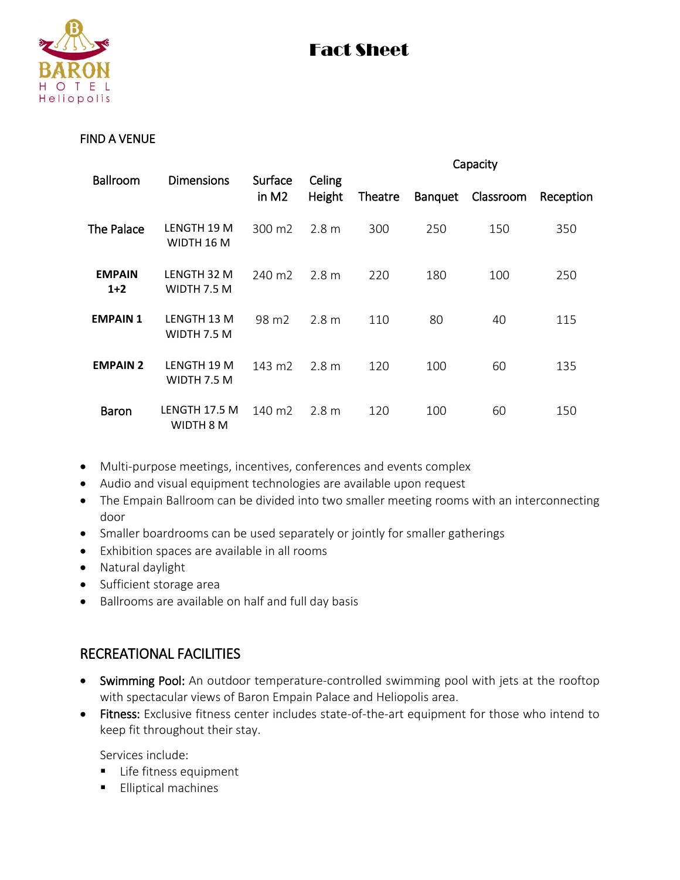

#### FIND A VENUE

|                        | <b>Dimensions</b>          |                              | Capacity         |         |                |           |           |
|------------------------|----------------------------|------------------------------|------------------|---------|----------------|-----------|-----------|
| <b>Ballroom</b>        |                            | Surface<br>in M <sub>2</sub> | Celing<br>Height | Theatre | <b>Banquet</b> | Classroom | Reception |
| The Palace             | LENGTH 19 M<br>WIDTH 16 M  | 300 m2                       | 2.8 <sub>m</sub> | 300     | 250            | 150       | 350       |
| <b>EMPAIN</b><br>$1+2$ | LENGTH 32 M<br>WIDTH 7.5 M | 240 m <sub>2</sub>           | 2.8 <sub>m</sub> | 220     | 180            | 100       | 250       |
| <b>EMPAIN 1</b>        | LENGTH 13 M<br>WIDTH 7.5 M | 98 m2                        | 2.8 <sub>m</sub> | 110     | 80             | 40        | 115       |
| <b>EMPAIN 2</b>        | LENGTH 19 M<br>WIDTH 7.5 M | 143 m2                       | 2.8 <sub>m</sub> | 120     | 100            | 60        | 135       |
| <b>Baron</b>           | LENGTH 17.5 M<br>WIDTH 8 M | 140 m2                       | 2.8 <sub>m</sub> | 120     | 100            | 60        | 150       |

- Multi-purpose meetings, incentives, conferences and events complex
- Audio and visual equipment technologies are available upon request
- The Empain Ballroom can be divided into two smaller meeting rooms with an interconnecting door
- Smaller boardrooms can be used separately or jointly for smaller gatherings
- Exhibition spaces are available in all rooms
- Natural daylight
- Sufficient storage area
- Ballrooms are available on half and full day basis

#### RECREATIONAL FACILITIES

- Swimming Pool: An outdoor temperature-controlled swimming pool with jets at the rooftop with spectacular views of Baron Empain Palace and Heliopolis area.
- Fitness: Exclusive fitness center includes state-of-the-art equipment for those who intend to keep fit throughout their stay.

Services include:

- **Life fitness equipment**
- **Elliptical machines**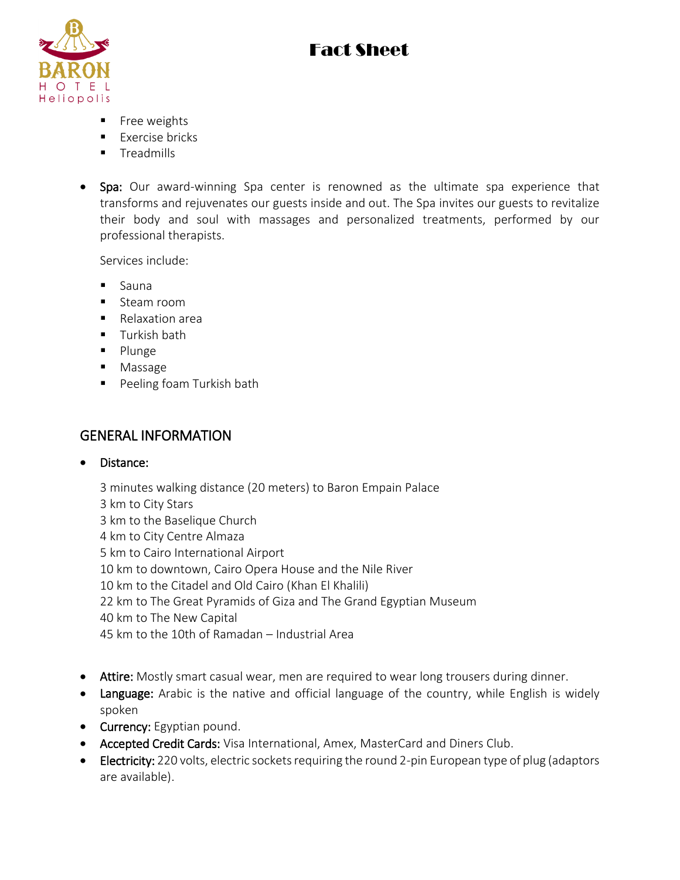

- **Free weights**
- $\blacksquare$  Exercise bricks
- **Treadmills**
- Spa: Our award-winning Spa center is renowned as the ultimate spa experience that transforms and rejuvenates our guests inside and out. The Spa invites our guests to revitalize their body and soul with massages and personalized treatments, performed by our professional therapists.

Services include:

- **Sauna**
- Steam room
- Relaxation area
- **Turkish bath**
- **Plunge**
- Massage
- **Peeling foam Turkish bath**

### GENERAL INFORMATION

Distance:

3 minutes walking distance (20 meters) to Baron Empain Palace 3 km to City Stars 3 km to the Baselique Church 4 km to City Centre Almaza 5 km to Cairo International Airport 10 km to downtown, Cairo Opera House and the Nile River 10 km to the Citadel and Old Cairo (Khan El Khalili) 22 km to The Great Pyramids of Giza and The Grand Egyptian Museum 40 km to The New Capital 45 km to the 10th of Ramadan – Industrial Area

- Attire: Mostly smart casual wear, men are required to wear long trousers during dinner.
- Language: Arabic is the native and official language of the country, while English is widely spoken
- Currency: Egyptian pound.
- Accepted Credit Cards: Visa International, Amex, MasterCard and Diners Club.
- Electricity: 220 volts, electric sockets requiring the round 2-pin European type of plug (adaptors are available).